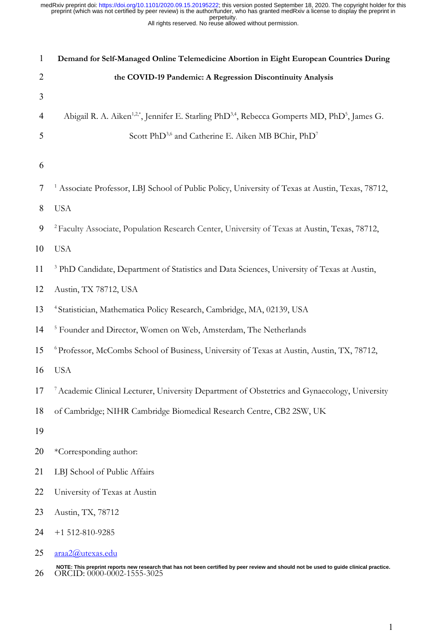|  | porporally. |  |                                                           |
|--|-------------|--|-----------------------------------------------------------|
|  |             |  | All rights reserved. No reuse allowed without permission. |
|  |             |  |                                                           |

| $\mathbf{1}$ | Demand for Self-Managed Online Telemedicine Abortion in Eight European Countries During                                                                              |
|--------------|----------------------------------------------------------------------------------------------------------------------------------------------------------------------|
| 2            | the COVID-19 Pandemic: A Regression Discontinuity Analysis                                                                                                           |
| 3            |                                                                                                                                                                      |
| 4            | Abigail R. A. Aiken <sup>1,2*</sup> , Jennifer E. Starling PhD <sup>3,4</sup> , Rebecca Gomperts MD, PhD <sup>5</sup> , James G.                                     |
| 5            | Scott PhD <sup>3,6</sup> and Catherine E. Aiken MB BChir, PhD <sup>7</sup>                                                                                           |
|              |                                                                                                                                                                      |
| 6            |                                                                                                                                                                      |
| 7            | <sup>1</sup> Associate Professor, LBJ School of Public Policy, University of Texas at Austin, Texas, 78712,                                                          |
| 8            | <b>USA</b>                                                                                                                                                           |
| 9            | <sup>2</sup> Faculty Associate, Population Research Center, University of Texas at Austin, Texas, 78712,                                                             |
| 10           | <b>USA</b>                                                                                                                                                           |
| 11           | <sup>3</sup> PhD Candidate, Department of Statistics and Data Sciences, University of Texas at Austin,                                                               |
| 12           | Austin, TX 78712, USA                                                                                                                                                |
| 13           | <sup>4</sup> Statistician, Mathematica Policy Research, Cambridge, MA, 02139, USA                                                                                    |
| 14           | <sup>5</sup> Founder and Director, Women on Web, Amsterdam, The Netherlands                                                                                          |
| 15           | <sup>6</sup> Professor, McCombs School of Business, University of Texas at Austin, Austin, TX, 78712,                                                                |
| 16           | <b>USA</b>                                                                                                                                                           |
| 17           | Academic Clinical Lecturer, University Department of Obstetrics and Gynaecology, University                                                                          |
| 18           | of Cambridge; NIHR Cambridge Biomedical Research Centre, CB2 2SW, UK                                                                                                 |
| 19           |                                                                                                                                                                      |
| 20           | *Corresponding author:                                                                                                                                               |
| 21           | LBJ School of Public Affairs                                                                                                                                         |
| 22           | University of Texas at Austin                                                                                                                                        |
| 23           | Austin, TX, 78712                                                                                                                                                    |
| 24           | $+1$ 512-810-9285                                                                                                                                                    |
| 25           | araa2@utexas.edu                                                                                                                                                     |
| 26           | NOTE: This preprint reports new research that has not been certified by peer review and should not be used to guide clinical practice.<br>ORCID: 0000-0002-1555-3025 |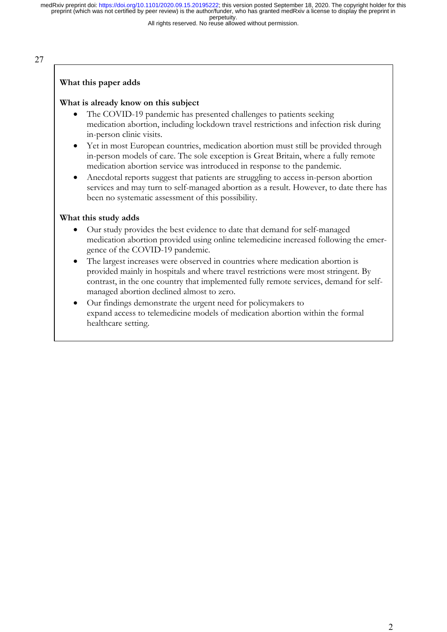All rights reserved. No reuse allowed without permission.

27

#### **What this paper adds**

#### **What is already know on this subject**

- The COVID-19 pandemic has presented challenges to patients seeking medication abortion, including lockdown travel restrictions and infection risk during in-person clinic visits.
- Yet in most European countries, medication abortion must still be provided through in-person models of care. The sole exception is Great Britain, where a fully remote medication abortion service was introduced in response to the pandemic.
- Anecdotal reports suggest that patients are struggling to access in-person abortion services and may turn to self-managed abortion as a result. However, to date there has been no systematic assessment of this possibility.

#### **What this study adds**

- Our study provides the best evidence to date that demand for self-managed medication abortion provided using online telemedicine increased following the emergence of the COVID-19 pandemic.
- The largest increases were observed in countries where medication abortion is provided mainly in hospitals and where travel restrictions were most stringent. By contrast, in the one country that implemented fully remote services, demand for selfmanaged abortion declined almost to zero.
- Our findings demonstrate the urgent need for policymakers to expand access to telemedicine models of medication abortion within the formal healthcare setting.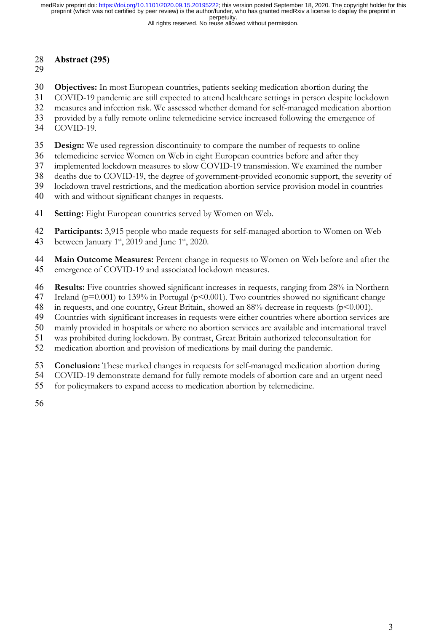All rights reserved. No reuse allowed without permission.

# **Abstract (295)**

- 
- **Objectives:** In most European countries, patients seeking medication abortion during the
- COVID-19 pandemic are still expected to attend healthcare settings in person despite lockdown
- measures and infection risk. We assessed whether demand for self-managed medication abortion
- provided by a fully remote online telemedicine service increased following the emergence of
- COVID-19.
- **Design:** We used regression discontinuity to compare the number of requests to online
- telemedicine service Women on Web in eight European countries before and after they
- implemented lockdown measures to slow COVID-19 transmission. We examined the number
- deaths due to COVID-19, the degree of government-provided economic support, the severity of
- lockdown travel restrictions, and the medication abortion service provision model in countries
- with and without significant changes in requests.
- **Setting:** Eight European countries served by Women on Web.
- **Participants:** 3,915 people who made requests for self-managed abortion to Women on Web
- 43 between January  $1<sup>st</sup>$ , 2019 and June  $1<sup>st</sup>$ , 2020.
- **Main Outcome Measures:** Percent change in requests to Women on Web before and after the emergence of COVID-19 and associated lockdown measures.
- **Results:** Five countries showed significant increases in requests, ranging from 28% in Northern
- 47 Ireland (p=0.001) to 139% in Portugal (p<0.001). Two countries showed no significant change
- 48 in requests, and one country, Great Britain, showed an 88% decrease in requests (p<0.001).
- Countries with significant increases in requests were either countries where abortion services are
- mainly provided in hospitals or where no abortion services are available and international travel
- was prohibited during lockdown. By contrast, Great Britain authorized teleconsultation for
- medication abortion and provision of medications by mail during the pandemic.
- **Conclusion:** These marked changes in requests for self-managed medication abortion during
- COVID-19 demonstrate demand for fully remote models of abortion care and an urgent need
- for policymakers to expand access to medication abortion by telemedicine.
-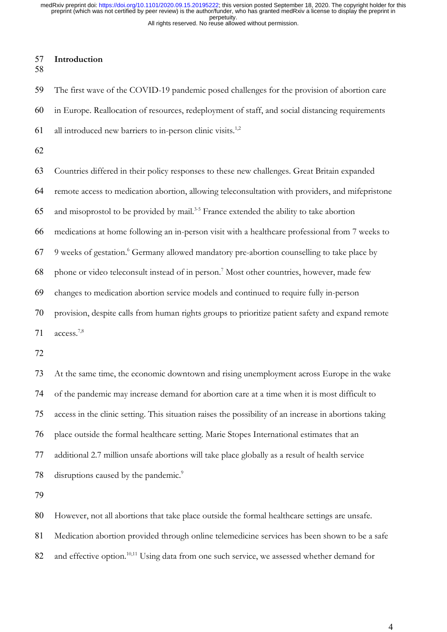## **Introduction**

 The first wave of the COVID-19 pandemic posed challenges for the provision of abortion care in Europe. Reallocation of resources, redeployment of staff, and social distancing requirements 61 all introduced new barriers to in-person clinic visits.<sup>1,2</sup>

 Countries differed in their policy responses to these new challenges. Great Britain expanded remote access to medication abortion, allowing teleconsultation with providers, and mifepristone and misoprostol to be provided by mail.<sup>3-5</sup> France extended the ability to take abortion medications at home following an in-person visit with a healthcare professional from 7 weeks to 67 9 weeks of gestation. <sup>6</sup> Germany allowed mandatory pre-abortion counselling to take place by 68 phone or video teleconsult instead of in person.<sup>7</sup> Most other countries, however, made few changes to medication abortion service models and continued to require fully in-person provision, despite calls from human rights groups to prioritize patient safety and expand remote  $access.^{7,8}$ 

 At the same time, the economic downtown and rising unemployment across Europe in the wake of the pandemic may increase demand for abortion care at a time when it is most difficult to access in the clinic setting. This situation raises the possibility of an increase in abortions taking place outside the formal healthcare setting. Marie Stopes International estimates that an additional 2.7 million unsafe abortions will take place globally as a result of health service 78 disruptions caused by the pandemic.<sup>9</sup>

However, not all abortions that take place outside the formal healthcare settings are unsafe.

Medication abortion provided through online telemedicine services has been shown to be a safe

82 and effective option.<sup>10,11</sup> Using data from one such service, we assessed whether demand for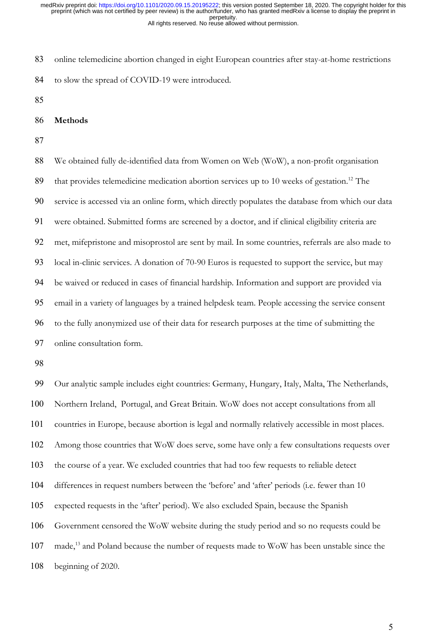online telemedicine abortion changed in eight European countries after stay-at-home restrictions to slow the spread of COVID-19 were introduced.

- 
- **Methods**
- 

 We obtained fully de-identified data from Women on Web (WoW), a non-profit organisation 89 that provides telemedicine medication abortion services up to 10 weeks of gestation.<sup>12</sup> The service is accessed via an online form, which directly populates the database from which our data were obtained. Submitted forms are screened by a doctor, and if clinical eligibility criteria are met, mifepristone and misoprostol are sent by mail. In some countries, referrals are also made to local in-clinic services. A donation of 70-90 Euros is requested to support the service, but may be waived or reduced in cases of financial hardship. Information and support are provided via email in a variety of languages by a trained helpdesk team. People accessing the service consent to the fully anonymized use of their data for research purposes at the time of submitting the online consultation form.

 Our analytic sample includes eight countries: Germany, Hungary, Italy, Malta, The Netherlands, Northern Ireland, Portugal, and Great Britain. WoW does not accept consultations from all countries in Europe, because abortion is legal and normally relatively accessible in most places. Among those countries that WoW does serve, some have only a few consultations requests over the course of a year. We excluded countries that had too few requests to reliable detect differences in request numbers between the 'before' and 'after' periods (i.e. fewer than 10 expected requests in the 'after' period). We also excluded Spain, because the Spanish Government censored the WoW website during the study period and so no requests could be 107 made,<sup>13</sup> and Poland because the number of requests made to WoW has been unstable since the beginning of 2020.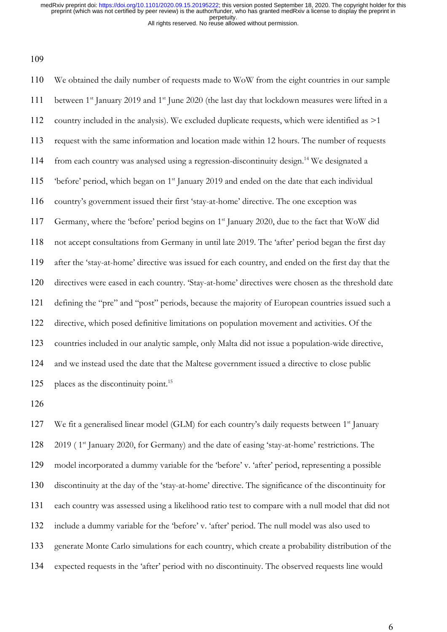We obtained the daily number of requests made to WoW from the eight countries in our sample 111 between  $1^{st}$  January 2019 and  $1^{st}$  June 2020 (the last day that lockdown measures were lifted in a 112 country included in the analysis). We excluded duplicate requests, which were identified as  $>1$  request with the same information and location made within 12 hours. The number of requests 114 from each country was analysed using a regression-discontinuity design.<sup>14</sup> We designated a 115 before' period, which began on  $1<sup>st</sup>$  January 2019 and ended on the date that each individual country's government issued their first 'stay-at-home' directive. The one exception was 117 Germany, where the 'before' period begins on 1<sup>st</sup> January 2020, due to the fact that WoW did not accept consultations from Germany in until late 2019. The 'after' period began the first day after the 'stay-at-home' directive was issued for each country, and ended on the first day that the directives were eased in each country. 'Stay-at-home' directives were chosen as the threshold date defining the "pre" and "post" periods, because the majority of European countries issued such a directive, which posed definitive limitations on population movement and activities. Of the countries included in our analytic sample, only Malta did not issue a population-wide directive, and we instead used the date that the Maltese government issued a directive to close public 125 places as the discontinuity point.<sup>15</sup>

127 We fit a generalised linear model (GLM) for each country's daily requests between 1<sup>st</sup> January 128 2019 (1<sup>st</sup> January 2020, for Germany) and the date of easing 'stay-at-home' restrictions. The model incorporated a dummy variable for the 'before' v. 'after' period, representing a possible discontinuity at the day of the 'stay-at-home' directive. The significance of the discontinuity for each country was assessed using a likelihood ratio test to compare with a null model that did not include a dummy variable for the 'before' v. 'after' period. The null model was also used to generate Monte Carlo simulations for each country, which create a probability distribution of the expected requests in the 'after' period with no discontinuity. The observed requests line would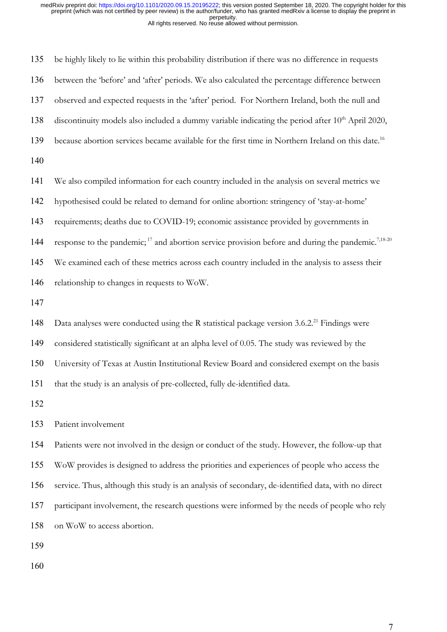be highly likely to lie within this probability distribution if there was no difference in requests between the 'before' and 'after' periods. We also calculated the percentage difference between observed and expected requests in the 'after' period. For Northern Ireland, both the null and 138 discontinuity models also included a dummy variable indicating the period after  $10<sup>th</sup>$  April 2020, 139 because abortion services became available for the first time in Northern Ireland on this date.<sup>16</sup> We also compiled information for each country included in the analysis on several metrics we hypothesised could be related to demand for online abortion: stringency of 'stay-at-home' requirements; deaths due to COVID-19; economic assistance provided by governments in 144 response to the pandemic;<sup>17</sup> and abortion service provision before and during the pandemic.<sup>7,18-20</sup> We examined each of these metrics across each country included in the analysis to assess their relationship to changes in requests to WoW. 148 Data analyses were conducted using the R statistical package version  $3.6.2<sup>21</sup>$  Findings were considered statistically significant at an alpha level of 0.05. The study was reviewed by the University of Texas at Austin Institutional Review Board and considered exempt on the basis that the study is an analysis of pre-collected, fully de-identified data. Patient involvement Patients were not involved in the design or conduct of the study. However, the follow-up that WoW provides is designed to address the priorities and experiences of people who access the service. Thus, although this study is an analysis of secondary, de-identified data, with no direct

participant involvement, the research questions were informed by the needs of people who rely

on WoW to access abortion.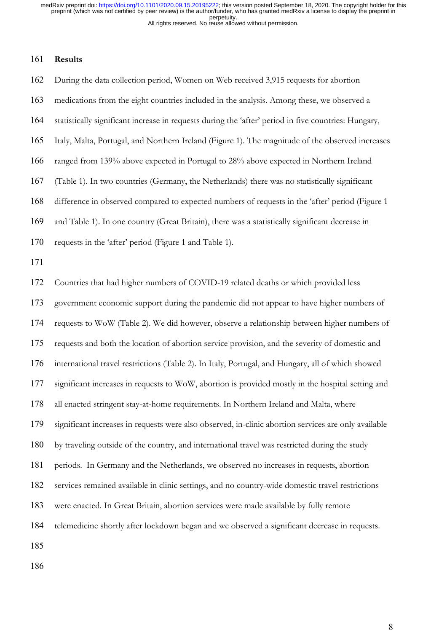#### **Results**

 During the data collection period, Women on Web received 3,915 requests for abortion medications from the eight countries included in the analysis. Among these, we observed a statistically significant increase in requests during the 'after' period in five countries: Hungary, Italy, Malta, Portugal, and Northern Ireland (Figure 1). The magnitude of the observed increases ranged from 139% above expected in Portugal to 28% above expected in Northern Ireland (Table 1). In two countries (Germany, the Netherlands) there was no statistically significant difference in observed compared to expected numbers of requests in the 'after' period (Figure 1 and Table 1). In one country (Great Britain), there was a statistically significant decrease in requests in the 'after' period (Figure 1 and Table 1). Countries that had higher numbers of COVID-19 related deaths or which provided less government economic support during the pandemic did not appear to have higher numbers of requests to WoW (Table 2). We did however, observe a relationship between higher numbers of requests and both the location of abortion service provision, and the severity of domestic and international travel restrictions (Table 2). In Italy, Portugal, and Hungary, all of which showed significant increases in requests to WoW, abortion is provided mostly in the hospital setting and all enacted stringent stay-at-home requirements. In Northern Ireland and Malta, where significant increases in requests were also observed, in-clinic abortion services are only available by traveling outside of the country, and international travel was restricted during the study periods. In Germany and the Netherlands, we observed no increases in requests, abortion services remained available in clinic settings, and no country-wide domestic travel restrictions were enacted. In Great Britain, abortion services were made available by fully remote

telemedicine shortly after lockdown began and we observed a significant decrease in requests.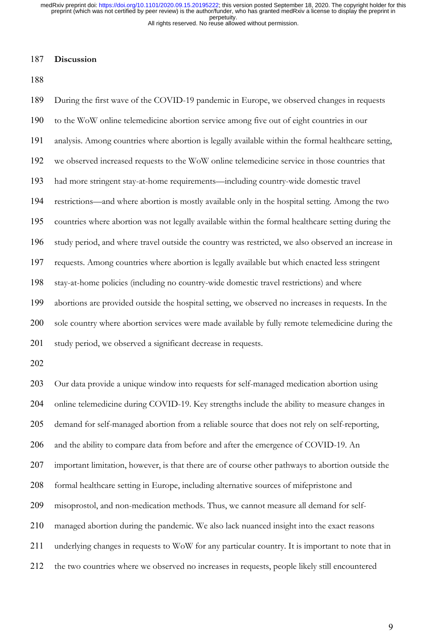#### **Discussion**

 During the first wave of the COVID-19 pandemic in Europe, we observed changes in requests to the WoW online telemedicine abortion service among five out of eight countries in our analysis. Among countries where abortion is legally available within the formal healthcare setting, we observed increased requests to the WoW online telemedicine service in those countries that had more stringent stay-at-home requirements––including country-wide domestic travel restrictions––and where abortion is mostly available only in the hospital setting. Among the two countries where abortion was not legally available within the formal healthcare setting during the study period, and where travel outside the country was restricted, we also observed an increase in requests. Among countries where abortion is legally available but which enacted less stringent stay-at-home policies (including no country-wide domestic travel restrictions) and where abortions are provided outside the hospital setting, we observed no increases in requests. In the sole country where abortion services were made available by fully remote telemedicine during the study period, we observed a significant decrease in requests. Our data provide a unique window into requests for self-managed medication abortion using online telemedicine during COVID-19. Key strengths include the ability to measure changes in demand for self-managed abortion from a reliable source that does not rely on self-reporting, and the ability to compare data from before and after the emergence of COVID-19. An important limitation, however, is that there are of course other pathways to abortion outside the formal healthcare setting in Europe, including alternative sources of mifepristone and misoprostol, and non-medication methods. Thus, we cannot measure all demand for self-

managed abortion during the pandemic. We also lack nuanced insight into the exact reasons

- underlying changes in requests to WoW for any particular country. It is important to note that in
- the two countries where we observed no increases in requests, people likely still encountered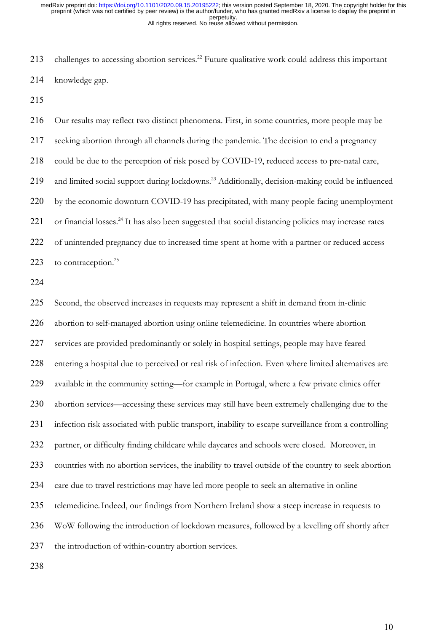213 challenges to accessing abortion services.<sup>22</sup> Future qualitative work could address this important knowledge gap.

 Our results may reflect two distinct phenomena. First, in some countries, more people may be seeking abortion through all channels during the pandemic. The decision to end a pregnancy could be due to the perception of risk posed by COVID-19, reduced access to pre-natal care, 219 and limited social support during lockdowns.<sup>23</sup> Additionally, decision-making could be influenced 220 by the economic downturn COVID-19 has precipitated, with many people facing unemployment 221 or financial losses.<sup>24</sup> It has also been suggested that social distancing policies may increase rates of unintended pregnancy due to increased time spent at home with a partner or reduced access 223 to contraception.

 Second, the observed increases in requests may represent a shift in demand from in-clinic abortion to self-managed abortion using online telemedicine. In countries where abortion services are provided predominantly or solely in hospital settings, people may have feared entering a hospital due to perceived or real risk of infection. Even where limited alternatives are available in the community setting––for example in Portugal, where a few private clinics offer abortion services––accessing these services may still have been extremely challenging due to the infection risk associated with public transport, inability to escape surveillance from a controlling partner, or difficulty finding childcare while daycares and schools were closed. Moreover, in countries with no abortion services, the inability to travel outside of the country to seek abortion care due to travel restrictions may have led more people to seek an alternative in online telemedicine.Indeed, our findings from Northern Ireland show a steep increase in requests to WoW following the introduction of lockdown measures, followed by a levelling off shortly after the introduction of within-country abortion services.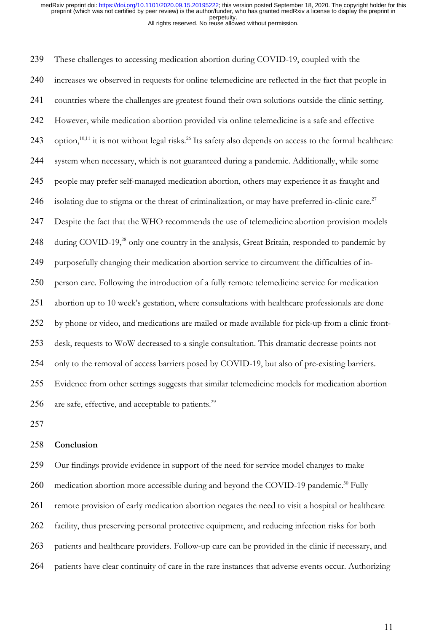These challenges to accessing medication abortion during COVID-19, coupled with the increases we observed in requests for online telemedicine are reflected in the fact that people in countries where the challenges are greatest found their own solutions outside the clinic setting. However, while medication abortion provided via online telemedicine is a safe and effective 243 option,<sup>10,11</sup> it is not without legal risks.<sup>26</sup> Its safety also depends on access to the formal healthcare system when necessary, which is not guaranteed during a pandemic. Additionally, while some people may prefer self-managed medication abortion, others may experience it as fraught and 246 isolating due to stigma or the threat of criminalization, or may have preferred in-clinic care.<sup>27</sup> Despite the fact that the WHO recommends the use of telemedicine abortion provision models 248 during COVID-19,<sup>28</sup> only one country in the analysis, Great Britain, responded to pandemic by purposefully changing their medication abortion service to circumvent the difficulties of in- person care. Following the introduction of a fully remote telemedicine service for medication abortion up to 10 week's gestation, where consultations with healthcare professionals are done by phone or video, and medications are mailed or made available for pick-up from a clinic front- desk, requests to WoW decreased to a single consultation. This dramatic decrease points not only to the removal of access barriers posed by COVID-19, but also of pre-existing barriers. Evidence from other settings suggests that similar telemedicine models for medication abortion 256 are safe, effective, and acceptable to patients. $2^9$ 

#### **Conclusion**

 Our findings provide evidence in support of the need for service model changes to make 260 medication abortion more accessible during and beyond the COVID-19 pandemic.<sup>30</sup> Fully remote provision of early medication abortion negates the need to visit a hospital or healthcare facility, thus preserving personal protective equipment, and reducing infection risks for both patients and healthcare providers. Follow-up care can be provided in the clinic if necessary, and patients have clear continuity of care in the rare instances that adverse events occur. Authorizing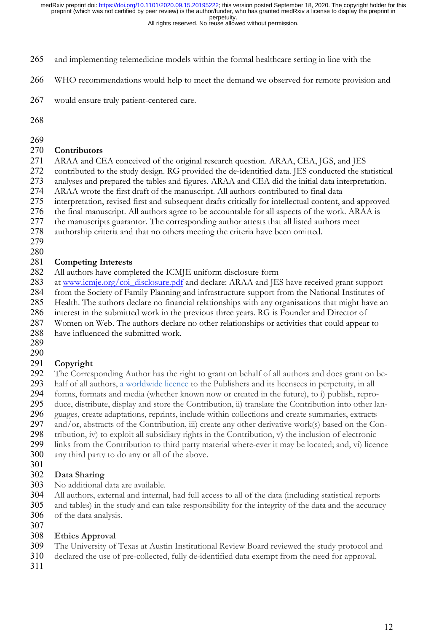All rights reserved. No reuse allowed without permission.

- and implementing telemedicine models within the formal healthcare setting in line with the
- WHO recommendations would help to meet the demand we observed for remote provision and
- would ensure truly patient-centered care.
- 

### **Contributors**

- ARAA and CEA conceived of the original research question. ARAA, CEA, JGS, and JES
- contributed to the study design. RG provided the de-identified data. JES conducted the statistical
- analyses and prepared the tables and figures. ARAA and CEA did the initial data interpretation.
- ARAA wrote the first draft of the manuscript. All authors contributed to final data
- interpretation, revised first and subsequent drafts critically for intellectual content, and approved
- the final manuscript. All authors agree to be accountable for all aspects of the work. ARAA is
- the manuscripts guarantor. The corresponding author attests that all listed authors meet
- authorship criteria and that no others meeting the criteria have been omitted.
- 

# **Competing Interests**

- All authors have completed the ICMJE uniform disclosure form
- 283 at www.icmje.org/coi\_disclosure.pdf and declare: ARAA and JES have received grant support
- from the Society of Family Planning and infrastructure support from the National Institutes of
- Health. The authors declare no financial relationships with any organisations that might have an
- interest in the submitted work in the previous three years. RG is Founder and Director of
- Women on Web. The authors declare no other relationships or activities that could appear to
- have influenced the submitted work.
- 

# **Copyright**

- The Corresponding Author has the right to grant on behalf of all authors and does grant on be-
- half of all authors, a worldwide licence to the Publishers and its licensees in perpetuity, in all
- forms, formats and media (whether known now or created in the future), to i) publish, repro-
- duce, distribute, display and store the Contribution, ii) translate the Contribution into other lan-
- guages, create adaptations, reprints, include within collections and create summaries, extracts
- and/or, abstracts of the Contribution, iii) create any other derivative work(s) based on the Con-
- tribution, iv) to exploit all subsidiary rights in the Contribution, v) the inclusion of electronic
- links from the Contribution to third party material where-ever it may be located; and, vi) licence
- any third party to do any or all of the above.
- 

# **Data Sharing**

- No additional data are available.
- All authors, external and internal, had full access to all of the data (including statistical reports
- and tables) in the study and can take responsibility for the integrity of the data and the accuracy
- of the data analysis.
- 

## **Ethics Approval**

- The University of Texas at Austin Institutional Review Board reviewed the study protocol and
- declared the use of pre-collected, fully de-identified data exempt from the need for approval.
-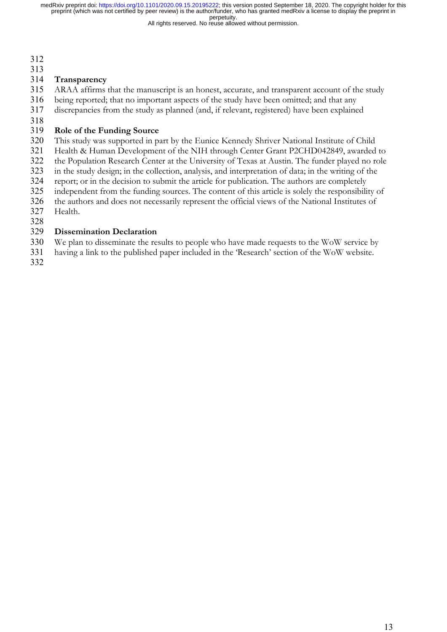All rights reserved. No reuse allowed without permission.

- 
- 

### **Transparency**

ARAA affirms that the manuscript is an honest, accurate, and transparent account of the study

- being reported; that no important aspects of the study have been omitted; and that any
- discrepancies from the study as planned (and, if relevant, registered) have been explained
- 

## **Role of the Funding Source**

- This study was supported in part by the Eunice Kennedy Shriver National Institute of Child
- Health & Human Development of the NIH through Center Grant P2CHD042849, awarded to
- the Population Research Center at the University of Texas at Austin. The funder played no role
- in the study design; in the collection, analysis, and interpretation of data; in the writing of the
- report; or in the decision to submit the article for publication. The authors are completely
- independent from the funding sources. The content of this article is solely the responsibility of
- the authors and does not necessarily represent the official views of the National Institutes of
- Health.

## **Dissemination Declaration**

- We plan to disseminate the results to people who have made requests to the WoW service by
- having a link to the published paper included in the 'Research' section of the WoW website.
-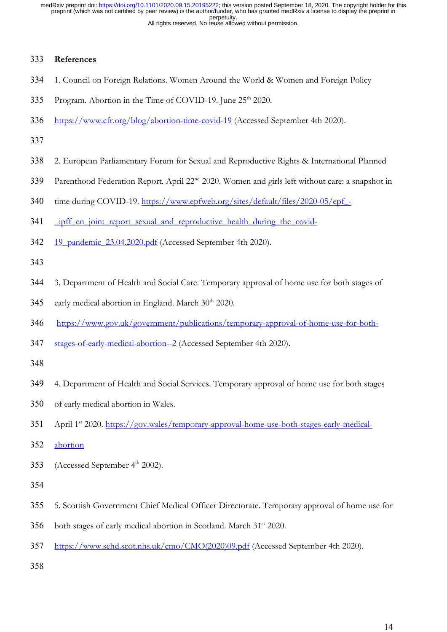### **References**

- 1. Council on Foreign Relations. Women Around the World & Women and Foreign Policy
- 335 Program. Abortion in the Time of COVID-19. June 25<sup>th</sup> 2020.
- https://www.cfr.org/blog/abortion-time-covid-19 (Accessed September 4th 2020).

- 2. European Parliamentary Forum for Sexual and Reproductive Rights & International Planned
- 339 Parenthood Federation Report. April 22<sup>nd</sup> 2020. Women and girls left without care: a snapshot in
- 340 time during COVID-19. https://www.epfweb.org/sites/default/files/2020-05/epf -
- 341 ipff en joint report sexual and reproductive health during the covid-
- 342 19 pandemic 23.04.2020.pdf (Accessed September 4th 2020).

- 3. Department of Health and Social Care. Temporary approval of home use for both stages of
- 345 early medical abortion in England. March  $30<sup>th</sup> 2020$ .
- https://www.gov.uk/government/publications/temporary-approval-of-home-use-for-both-
- stages-of-early-medical-abortion--2 (Accessed September 4th 2020).

- 4. Department of Health and Social Services. Temporary approval of home use for both stages
- of early medical abortion in Wales.
- 351 April 1<sup>st</sup> 2020. https://gov.wales/temporary-approval-home-use-both-stages-early-medical-
- abortion
- 353 (Accessed September 4<sup>th</sup> 2002).
- 
- 5. Scottish Government Chief Medical Officer Directorate. Temporary approval of home use for
- both stages of early medical abortion in Scotland. March  $31<sup>st</sup>$  2020.
- https://www.sehd.scot.nhs.uk/cmo/CMO(2020)09.pdf (Accessed September 4th 2020).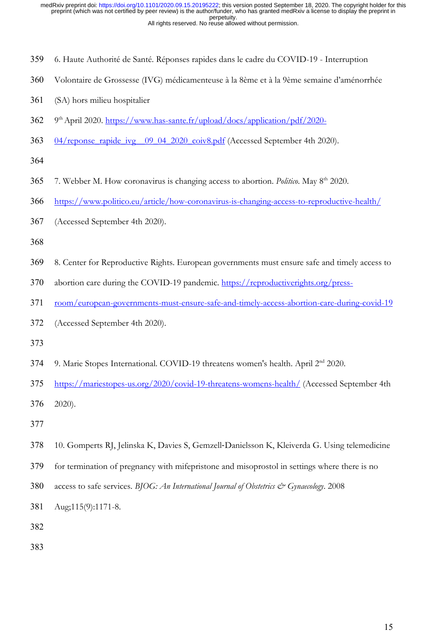- 6. Haute Authorité de Santé. Réponses rapides dans le cadre du COVID-19 Interruption
- Volontaire de Grossesse (IVG) médicamenteuse à la 8ème et à la 9ème semaine d'aménorrhée
- (SA) hors milieu hospitalier
- 9th April 2020. https://www.has-sante.fr/upload/docs/application/pdf/2020-
- 04/reponse\_rapide\_ivg\_\_09\_04\_2020\_coiv8.pdf (Accessed September 4th 2020).

- 7. Webber M. How coronavirus is changing access to abortion. *Politico*. May 8th 2020.
- https://www.politico.eu/article/how-coronavirus-is-changing-access-to-reproductive-health/
- (Accessed September 4th 2020).

- 8. Center for Reproductive Rights. European governments must ensure safe and timely access to
- abortion care during the COVID-19 pandemic. https://reproductiverights.org/press-
- room/european-governments-must-ensure-safe-and-timely-access-abortion-care-during-covid-19
- (Accessed September 4th 2020).
- 
- 9. Marie Stopes International. COVID-19 threatens women's health. April 2nd 2020.
- https://mariestopes-us.org/2020/covid-19-threatens-womens-health/ (Accessed September 4th

2020).

- 
- 10. Gomperts RJ, Jelinska K, Davies S, Gemzell-Danielsson K, Kleiverda G. Using telemedicine
- for termination of pregnancy with mifepristone and misoprostol in settings where there is no
- 380 access to safe services. *BJOG: An International Journal of Obstetrics & Gynaecology*. 2008
- Aug;115(9):1171-8.
- 
-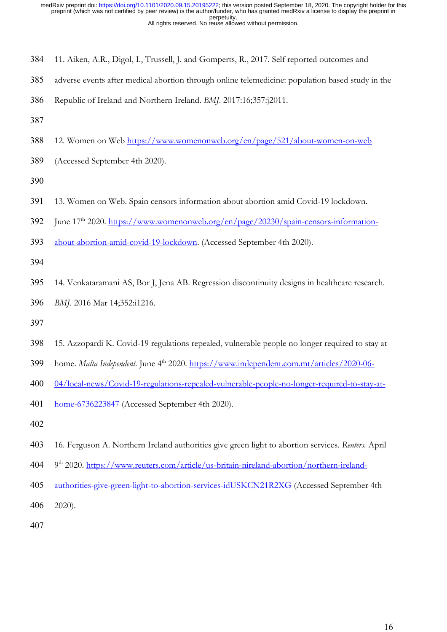- 11. Aiken, A.R., Digol, I., Trussell, J. and Gomperts, R., 2017. Self reported outcomes and
- adverse events after medical abortion through online telemedicine: population based study in the
- Republic of Ireland and Northern Ireland. *BMJ*. 2017:16;357:j2011.
- 
- 12. Women on Web https://www.womenonweb.org/en/page/521/about-women-on-web
- (Accessed September 4th 2020).

- 13. Women on Web. Spain censors information about abortion amid Covid-19 lockdown.
- 392 Iune 17<sup>th</sup> 2020. https://www.womenonweb.org/en/page/20230/spain-censors-information-
- about-abortion-amid-covid-19-lockdown. (Accessed September 4th 2020).

- 14. Venkataramani AS, Bor J, Jena AB. Regression discontinuity designs in healthcare research.
- *BMJ*. 2016 Mar 14;352:i1216.
- 
- 15. Azzopardi K. Covid-19 regulations repealed, vulnerable people no longer required to stay at
- 399 home. *Malta Independent*. June 4<sup>th</sup> 2020. https://www.independent.com.mt/articles/2020-06-
- 04/local-news/Covid-19-regulations-repealed-vulnerable-people-no-longer-required-to-stay-at-
- home-6736223847 (Accessed September 4th 2020).
- 
- 16. Ferguson A. Northern Ireland authorities give green light to abortion services. *Reuters.* April
- 9th 2020. https://www.reuters.com/article/us-britain-nireland-abortion/northern-ireland-
- authorities-give-green-light-to-abortion-services-idUSKCN21R2XG (Accessed September 4th

2020).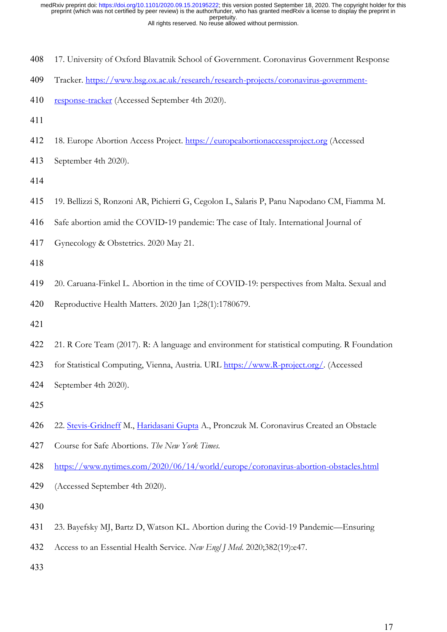- 17. University of Oxford Blavatnik School of Government. Coronavirus Government Response
- Tracker. https://www.bsg.ox.ac.uk/research/research-projects/coronavirus-government-
- 410 response-tracker (Accessed September 4th 2020).
- 
- 18. Europe Abortion Access Project. https://europeabortionaccessproject.org (Accessed
- September 4th 2020).

- 19. Bellizzi S, Ronzoni AR, Pichierri G, Cegolon L, Salaris P, Panu Napodano CM, Fiamma M.
- Safe abortion amid the COVID-19 pandemic: The case of Italy. International Journal of
- Gynecology & Obstetrics. 2020 May 21.

20. Caruana-Finkel L. Abortion in the time of COVID-19: perspectives from Malta. Sexual and

Reproductive Health Matters. 2020 Jan 1;28(1):1780679.

- 
- 21. R Core Team (2017). R: A language and environment for statistical computing. R Foundation
- for Statistical Computing, Vienna, Austria. URL https://www.R-project.org/. (Accessed
- September 4th 2020).
- 
- 22. Stevis-Gridneff M., Haridasani Gupta A., Pronczuk M. Coronavirus Created an Obstacle
- Course for Safe Abortions. *The New York Times.*
- https://www.nytimes.com/2020/06/14/world/europe/coronavirus-abortion-obstacles.html
- (Accessed September 4th 2020).

- 23. Bayefsky MJ, Bartz D, Watson KL. Abortion during the Covid-19 Pandemic—Ensuring
- Access to an Essential Health Service. *New Engl J Med*. 2020;382(19):e47.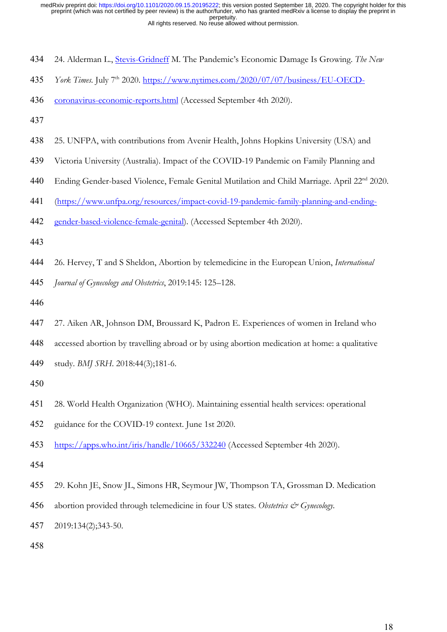- 24. Alderman L., Stevis-Gridneff M. The Pandemic's Economic Damage Is Growing. *The New*
- *York Times.* July 7th 2020. https://www.nytimes.com/2020/07/07/business/EU-OECD-
- coronavirus-economic-reports.html (Accessed September 4th 2020).

- 25. UNFPA, with contributions from Avenir Health, Johns Hopkins University (USA) and
- Victoria University (Australia). Impact of the COVID-19 Pandemic on Family Planning and
- 440 Ending Gender-based Violence, Female Genital Mutilation and Child Marriage. April 22<sup>nd</sup> 2020.
- (https://www.unfpa.org/resources/impact-covid-19-pandemic-family-planning-and-ending-
- gender-based-violence-female-genital). (Accessed September 4th 2020).
- 
- 26. Hervey, T and S Sheldon, Abortion by telemedicine in the European Union, *International*
- *Journal of Gynecology and Obstetrics*, 2019:145: 125–128.
- 
- 27. Aiken AR, Johnson DM, Broussard K, Padron E. Experiences of women in Ireland who
- accessed abortion by travelling abroad or by using abortion medication at home: a qualitative
- study. *BMJ SRH*. 2018:44(3);181-6.
- 
- 28. World Health Organization (WHO). Maintaining essential health services: operational
- guidance for the COVID-19 context. June 1st 2020.
- https://apps.who.int/iris/handle/10665/332240 (Accessed September 4th 2020).
- 
- 29. Kohn JE, Snow JL, Simons HR, Seymour JW, Thompson TA, Grossman D. Medication
- abortion provided through telemedicine in four US states. *Obstetrics & Gynecology.*
- 2019:134(2);343-50.
-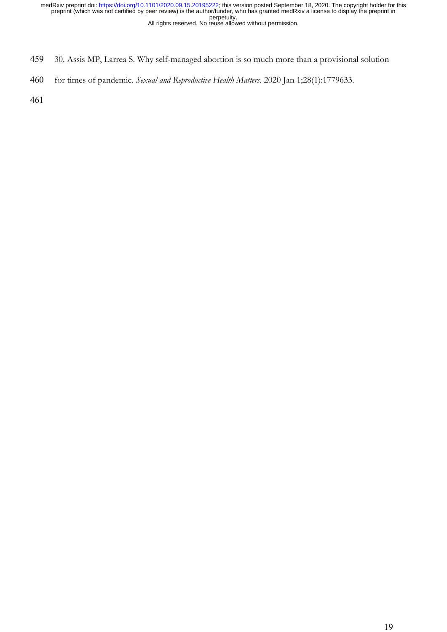- 459 30. Assis MP, Larrea S. Why self-managed abortion is so much more than a provisional solution
- 460 for times of pandemic. *Sexual and Reproductive Health Matters.* 2020 Jan 1;28(1):1779633.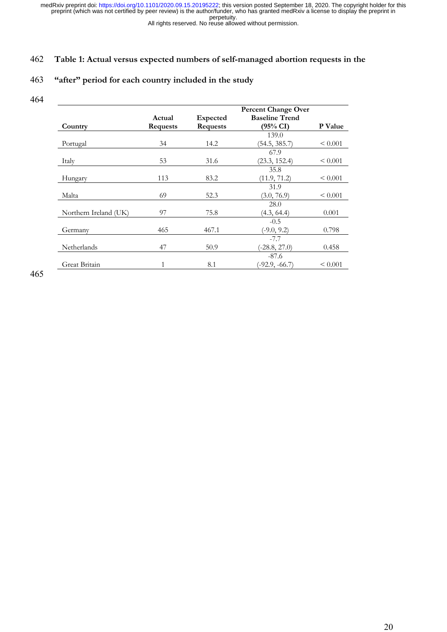All rights reserved. No reuse allowed without permission.

### 462 **Table 1: Actual versus expected numbers of self-managed abortion requests in the**

# 463 **"after" period for each country included in the study**

464

| Country               | Actual<br><b>Requests</b> | Expected<br><b>Requests</b> | <b>Percent Change Over</b><br><b>Baseline Trend</b><br>$(95\% \text{ CI})$ | <b>P</b> Value |
|-----------------------|---------------------------|-----------------------------|----------------------------------------------------------------------------|----------------|
| Portugal              | 34                        | 14.2                        | 139.0<br>(54.5, 385.7)                                                     | ${}_{0.001}$   |
|                       |                           |                             | 67.9                                                                       |                |
| Italy                 | 53                        | 31.6                        | (23.3, 152.4)                                                              | $\leq 0.001$   |
| Hungary               | 113                       | 83.2                        | 35.8<br>(11.9, 71.2)                                                       | ${}_{0.001}$   |
| Malta                 | 69                        | 52.3                        | 31.9<br>(3.0, 76.9)                                                        | ${}_{0.001}$   |
| Northern Ireland (UK) | 97                        | 75.8                        | 28.0<br>(4.3, 64.4)                                                        | 0.001          |
| Germany               | 465                       | 467.1                       | $-0.5$<br>$(-9.0, 9.2)$                                                    | 0.798          |
| Netherlands           | 47                        | 50.9                        | $-7.7$<br>$(-28.8, 27.0)$                                                  | 0.458          |
| Great Britain         | 1                         | 8.1                         | $-87.6$<br>(-92.9, -66.7)                                                  | ${}_{0.001}$   |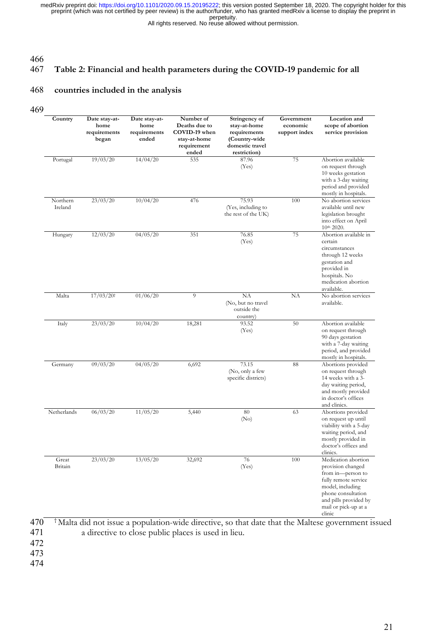All rights reserved. No reuse allowed without permission.

#### 466

# 467 **Table 2: Financial and health parameters during the COVID-19 pandemic for all**

### 468 **countries included in the analysis**

469

| Country             | Date stay-at-<br>home<br>requirements<br>began | Date stay-at-<br>home<br>requirements<br>ended | Number of<br>Deaths due to<br>COVID-19 when<br>stay-at-home<br>requirement<br>ended | Stringency of<br>stay-at-home<br>requirements<br>(Country-wide<br>domestic travel<br>restriction) | Government<br>economic<br>support index | Location and<br>scope of abortion<br>service provision                                                                                                                                     |
|---------------------|------------------------------------------------|------------------------------------------------|-------------------------------------------------------------------------------------|---------------------------------------------------------------------------------------------------|-----------------------------------------|--------------------------------------------------------------------------------------------------------------------------------------------------------------------------------------------|
| Portugal            | 19/03/20                                       | 14/04/20                                       | 535                                                                                 | 87.96<br>(Yes)                                                                                    | 75                                      | Abortion available<br>on request through<br>10 weeks gestation<br>with a 3-day waiting<br>period and provided<br>mostly in hospitals.                                                      |
| Northern<br>Ireland | 23/03/20                                       | 10/04/20                                       | 476                                                                                 | 75.93<br>(Yes, including to<br>the rest of the UK)                                                | 100                                     | No abortion services<br>available until new<br>legislation brought<br>into effect on April<br>10 <sup>th</sup> 2020.                                                                       |
| Hungary             | 12/03/20                                       | 04/05/20                                       | 351                                                                                 | 76.85<br>(Yes)                                                                                    | 75                                      | Abortion available in<br>certain<br>circumstances<br>through 12 weeks<br>gestation and<br>provided in<br>hospitals. No<br>medication abortion<br>available.                                |
| Malta               | $17/03/20$ t                                   | 01/06/20                                       | $\overline{9}$                                                                      | NA<br>(No, but no travel<br>outside the<br>country)                                               | NA                                      | No abortion services<br>available.                                                                                                                                                         |
| Italy               | 23/03/20                                       | 10/04/20                                       | 18,281                                                                              | 93.52<br>(Yes)                                                                                    | 50                                      | Abortion available<br>on request through<br>90 days gestation<br>with a 7-day waiting<br>period, and provided<br>mostly in hospitals.                                                      |
| Germany             | 09/03/20                                       | 04/05/20                                       | 6,692                                                                               | 73.15<br>(No, only a few<br>specific districts)                                                   | 88                                      | Abortions provided<br>on request through<br>14 weeks with a 3-<br>day waiting period,<br>and mostly provided<br>in doctor's offices<br>and clinics.                                        |
| Netherlands         | 06/03/20                                       | 11/05/20                                       | 5,440                                                                               | 80<br>(No)                                                                                        | 63                                      | Abortions provided<br>on request up until<br>viability with a 5-day<br>waiting period, and<br>mostly provided in<br>doctor's offices and<br>clinics.                                       |
| Great<br>Britain    | 23/03/20                                       | 13/05/20                                       | 32,692                                                                              | 76<br>(Yes)                                                                                       | 100                                     | Medication abortion<br>provision changed<br>from in-person to<br>fully remote service<br>model, including<br>phone consultation<br>and pills provided by<br>mail or pick-up at a<br>clinic |

 $470$ <sup>†</sup> Malta did not issue a population-wide directive, so that date that the Maltese government issued a directive to close public places is used in lieu. a directive to close public places is used in lieu. 472

- 
- 473
- 474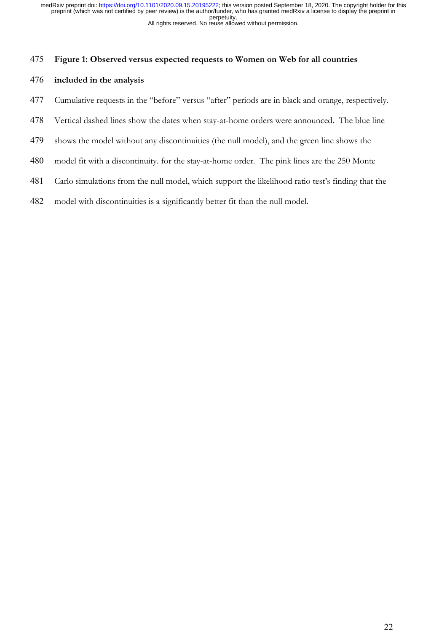#### **Figure 1: Observed versus expected requests to Women on Web for all countries**

### **included in the analysis**

- Cumulative requests in the "before" versus "after" periods are in black and orange, respectively.
- Vertical dashed lines show the dates when stay-at-home orders were announced. The blue line
- shows the model without any discontinuities (the null model), and the green line shows the
- model fit with a discontinuity. for the stay-at-home order. The pink lines are the 250 Monte
- Carlo simulations from the null model, which support the likelihood ratio test's finding that the
- model with discontinuities is a significantly better fit than the null model.